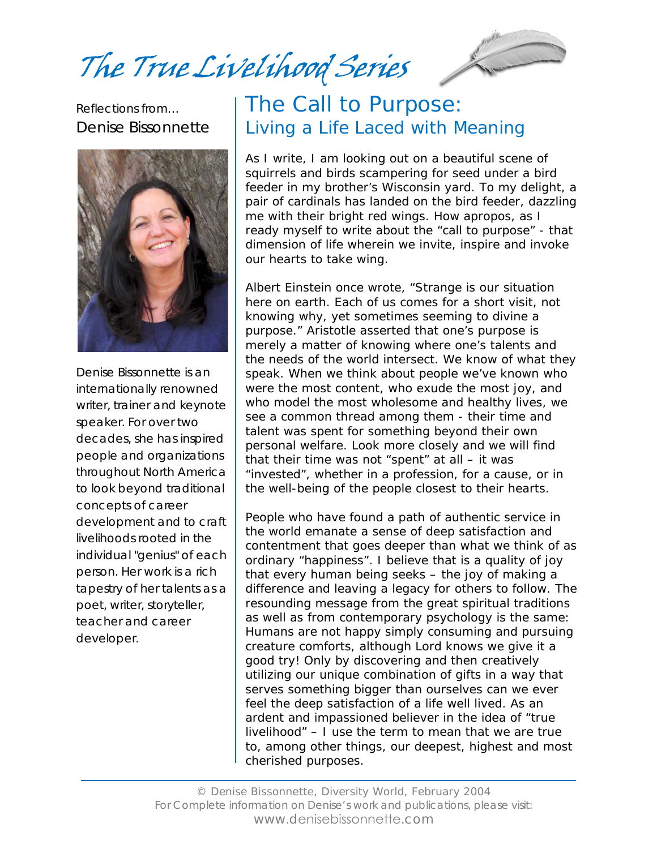The True Livelihood Series



Reflections from… Denise Bissonnette



Denise Bissonnette is an internationally renowned writer, trainer and keynote speaker. For over two decades, she has inspired people and organizations throughout North America to look beyond traditional concepts of career development and to craft livelihoods rooted in the individual "genius" of each person. Her work is a rich tapestry of her talents as a poet, writer, storyteller, teacher and career developer.

#### The Call to Purpose: Living a Life Laced with Meaning

As I write, I am looking out on a beautiful scene of squirrels and birds scampering for seed under a bird feeder in my brother's Wisconsin yard. To my delight, a pair of cardinals has landed on the bird feeder, dazzling me with their bright red wings. How apropos, as I ready myself to write about the "call to purpose" - that dimension of life wherein we invite, inspire and invoke our hearts to take wing.

Albert Einstein once wrote, "Strange is our situation here on earth. Each of us comes for a short visit, not knowing why, yet sometimes seeming to divine a purpose." Aristotle asserted that one's purpose is merely a matter of knowing where one's talents and the needs of the world intersect. We know of what they speak. When we think about people we've known who were the most content, who exude the most joy, and who model the most wholesome and healthy lives, we see a common thread among them - their time and talent was spent for something beyond their own personal welfare. Look more closely and we will find that their time was not "spent" at all – it was "invested", whether in a profession, for a cause, or in the well-being of the people closest to their hearts.

People who have found a path of authentic service in the world emanate a sense of deep satisfaction and contentment that goes deeper than what we think of as ordinary "happiness". I believe that is a quality of joy that every human being seeks – the joy of making a difference and leaving a legacy for others to follow. The resounding message from the great spiritual traditions as well as from contemporary psychology is the same: Humans are not happy simply consuming and pursuing creature comforts, although Lord knows we give it a good try! Only by discovering and then creatively utilizing our unique combination of gifts in a way that serves something bigger than ourselves can we ever feel the deep satisfaction of a life well lived. As an ardent and impassioned believer in the idea of "true livelihood" – I use the term to mean that we are true to, among other things, our deepest, highest and most cherished purposes.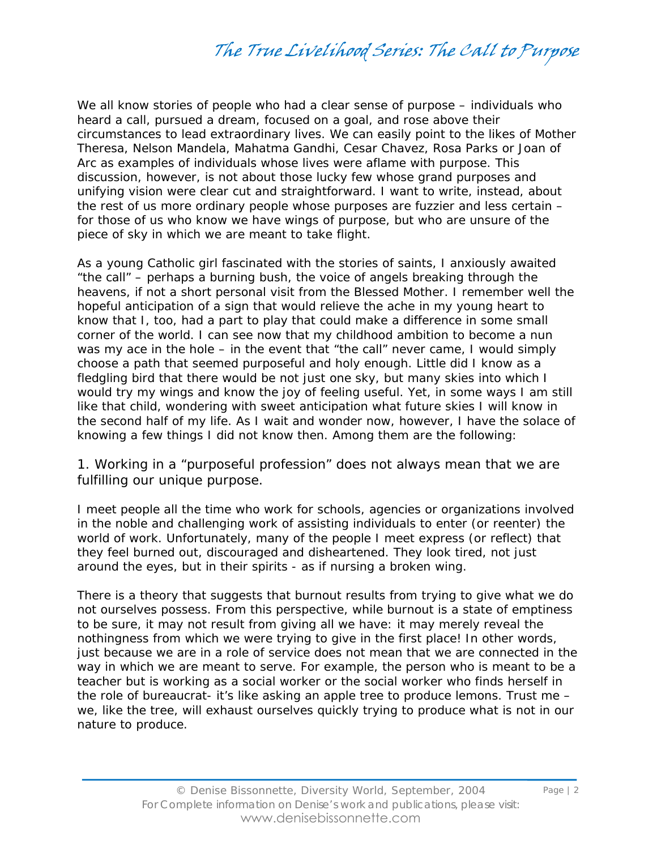We all know stories of people who had a clear sense of purpose – individuals who heard a call, pursued a dream, focused on a goal, and rose above their circumstances to lead extraordinary lives. We can easily point to the likes of Mother Theresa, Nelson Mandela, Mahatma Gandhi, Cesar Chavez, Rosa Parks or Joan of Arc as examples of individuals whose lives were aflame with purpose. This discussion, however, is not about those lucky few whose grand purposes and unifying vision were clear cut and straightforward. I want to write, instead, about the rest of us more ordinary people whose purposes are fuzzier and less certain – for those of us who know we have wings of purpose, but who are unsure of the piece of sky in which we are meant to take flight.

As a young Catholic girl fascinated with the stories of saints, I anxiously awaited "the call" – perhaps a burning bush, the voice of angels breaking through the heavens, if not a short personal visit from the Blessed Mother. I remember well the hopeful anticipation of a sign that would relieve the ache in my young heart to know that I, too, had a part to play that could make a difference in some small corner of the world. I can see now that my childhood ambition to become a nun was my ace in the hole – in the event that "the call" never came, I would simply choose a path that seemed purposeful and holy enough. Little did I know as a fledgling bird that there would be not just one sky, but many skies into which I would try my wings and know the joy of feeling useful. Yet, in some ways I am still like that child, wondering with sweet anticipation what future skies I will know in the second half of my life. As I wait and wonder now, however, I have the solace of knowing a few things I did not know then. Among them are the following:

1. Working in a "purposeful profession" does not always mean that we are fulfilling our unique purpose.

I meet people all the time who work for schools, agencies or organizations involved in the noble and challenging work of assisting individuals to enter (or reenter) the world of work. Unfortunately, many of the people I meet express (or reflect) that they feel burned out, discouraged and disheartened. They look tired, not just around the eyes, but in their spirits - as if nursing a broken wing.

There is a theory that suggests that burnout results from trying to give what we do not ourselves possess. From this perspective, while burnout is a state of emptiness to be sure, it may not result from giving all we have: it may merely reveal the nothingness from which we were trying to give in the first place! In other words, just because we are in a role of service does not mean that we are connected in the way in which we are meant to serve. For example, the person who is meant to be a teacher but is working as a social worker or the social worker who finds herself in the role of bureaucrat- it's like asking an apple tree to produce lemons. Trust me – we, like the tree, will exhaust ourselves quickly trying to produce what is not in our nature to produce.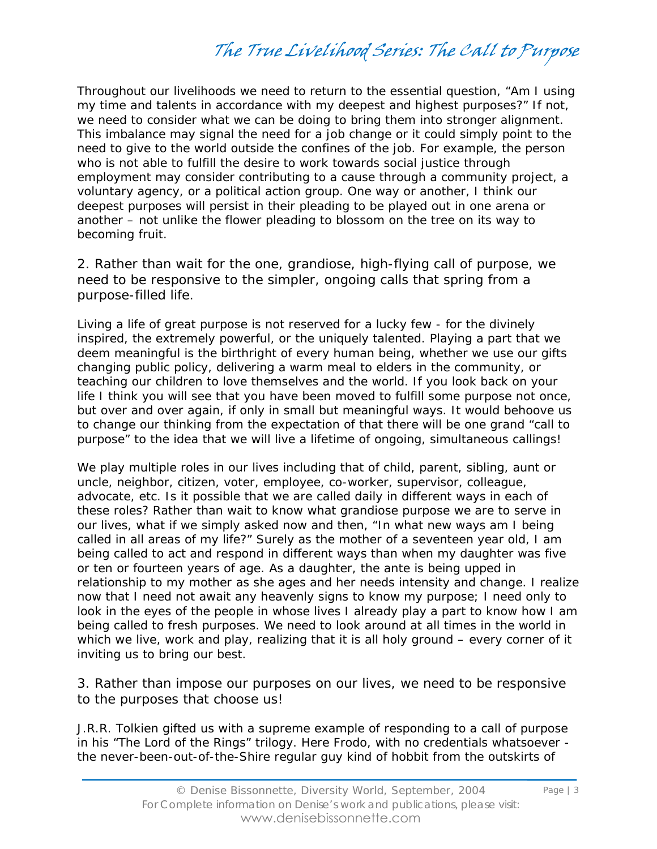Throughout our livelihoods we need to return to the essential question, "Am I using my time and talents in accordance with my deepest and highest purposes?" If not, we need to consider what we can be doing to bring them into stronger alignment. This imbalance may signal the need for a job change or it could simply point to the need to give to the world outside the confines of the job. For example, the person who is not able to fulfill the desire to work towards social justice through employment may consider contributing to a cause through a community project, a voluntary agency, or a political action group. One way or another, I think our deepest purposes will persist in their pleading to be played out in one arena or another – not unlike the flower pleading to blossom on the tree on its way to becoming fruit.

2. Rather than wait for the one, grandiose, high-flying call of purpose, we need to be responsive to the simpler, ongoing calls that spring from a purpose-filled life.

Living a life of great purpose is not reserved for a lucky few - for the divinely inspired, the extremely powerful, or the uniquely talented. Playing a part that we deem meaningful is the birthright of every human being, whether we use our gifts changing public policy, delivering a warm meal to elders in the community, or teaching our children to love themselves and the world. If you look back on your life I think you will see that you have been moved to fulfill some purpose not once, but over and over again, if only in small but meaningful ways. It would behoove us to change our thinking from the expectation of that there will be one grand "call to purpose" to the idea that we will live a lifetime of ongoing, simultaneous callings!

We play multiple roles in our lives including that of child, parent, sibling, aunt or uncle, neighbor, citizen, voter, employee, co-worker, supervisor, colleague, advocate, etc. Is it possible that we are called daily in different ways in each of these roles? Rather than wait to know what grandiose purpose we are to serve in our lives, what if we simply asked now and then, "In what new ways am I being called in all areas of my life?" Surely as the mother of a seventeen year old, I am being called to act and respond in different ways than when my daughter was five or ten or fourteen years of age. As a daughter, the ante is being upped in relationship to my mother as she ages and her needs intensity and change. I realize now that I need not await any heavenly signs to know my purpose; I need only to look in the eyes of the people in whose lives I already play a part to know how I am being called to fresh purposes. We need to look around at all times in the world in which we live, work and play, realizing that it is all holy ground – every corner of it inviting us to bring our best.

3. Rather than impose our purposes on our lives, we need to be responsive to the purposes that choose us!

J.R.R. Tolkien gifted us with a supreme example of responding to a call of purpose in his "The Lord of the Rings" trilogy. Here Frodo, with no credentials whatsoever the never-been-out-of-the-Shire regular guy kind of hobbit from the outskirts of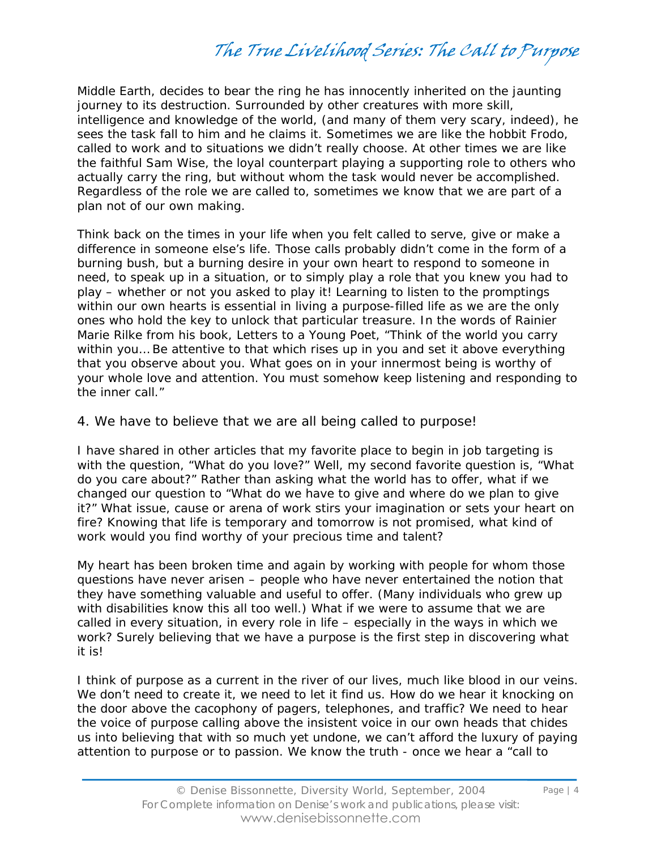Middle Earth, decides to bear the ring he has innocently inherited on the jaunting journey to its destruction. Surrounded by other creatures with more skill, intelligence and knowledge of the world, (and many of them very scary, indeed), he sees the task fall to him and he claims it. Sometimes we are like the hobbit Frodo, called to work and to situations we didn't really choose. At other times we are like the faithful Sam Wise, the loyal counterpart playing a supporting role to others who actually carry the ring, but without whom the task would never be accomplished. Regardless of the role we are called to, sometimes we know that we are part of a plan not of our own making.

Think back on the times in your life when you felt called to serve, give or make a difference in someone else's life. Those calls probably didn't come in the form of a burning bush, but a burning desire in your own heart to respond to someone in need, to speak up in a situation, or to simply play a role that you knew you had to play – whether or not you asked to play it! Learning to listen to the promptings within our own hearts is essential in living a purpose-filled life as we are the only ones who hold the key to unlock that particular treasure. In the words of Rainier Marie Rilke from his book, Letters to a Young Poet, "Think of the world you carry within you… Be attentive to that which rises up in you and set it above everything that you observe about you. What goes on in your innermost being is worthy of your whole love and attention. You must somehow keep listening and responding to the inner call."

#### 4. We have to believe that we are all being called to purpose!

I have shared in other articles that my favorite place to begin in job targeting is with the question, "What do you love?" Well, my second favorite question is, "What do you care about?" Rather than asking what the world has to offer, what if we changed our question to "What do we have to give and where do we plan to give it?" What issue, cause or arena of work stirs your imagination or sets your heart on fire? Knowing that life is temporary and tomorrow is not promised, what kind of work would you find worthy of your precious time and talent?

My heart has been broken time and again by working with people for whom those questions have never arisen – people who have never entertained the notion that they have something valuable and useful to offer. (Many individuals who grew up with disabilities know this all too well.) What if we were to assume that we are called in every situation, in every role in life – especially in the ways in which we work? Surely believing that we have a purpose is the first step in discovering what it is!

I think of purpose as a current in the river of our lives, much like blood in our veins. We don't need to create it, we need to let it find us. How do we hear it knocking on the door above the cacophony of pagers, telephones, and traffic? We need to hear the voice of purpose calling above the insistent voice in our own heads that chides us into believing that with so much yet undone, we can't afford the luxury of paying attention to purpose or to passion. We know the truth - once we hear a "call to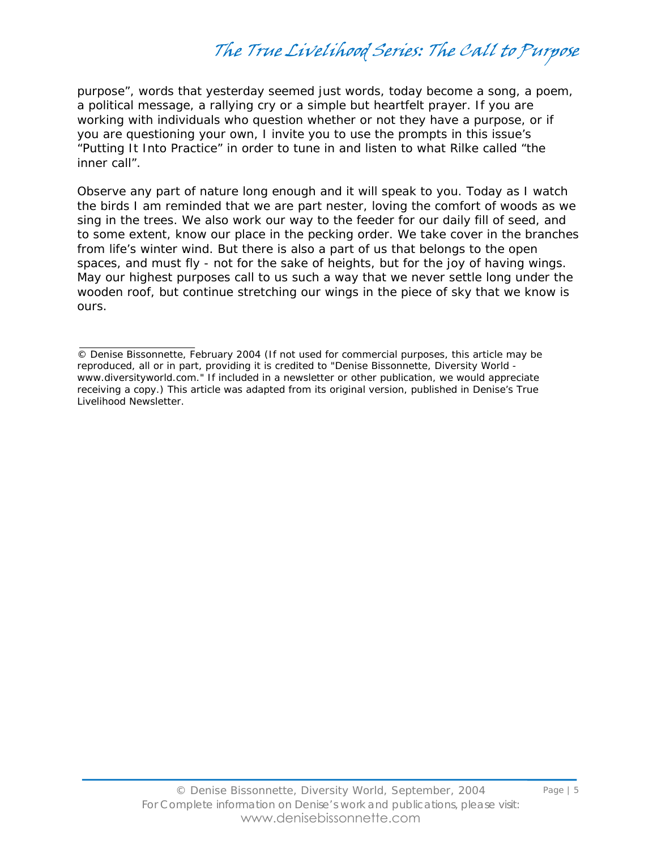purpose", words that yesterday seemed just words, today become a song, a poem, a political message, a rallying cry or a simple but heartfelt prayer. If you are working with individuals who question whether or not they have a purpose, or if you are questioning your own, I invite you to use the prompts in this issue's "Putting It Into Practice" in order to tune in and listen to what Rilke called "the inner call".

Observe any part of nature long enough and it will speak to you. Today as I watch the birds I am reminded that we are part nester, loving the comfort of woods as we sing in the trees. We also work our way to the feeder for our daily fill of seed, and to some extent, know our place in the pecking order. We take cover in the branches from life's winter wind. But there is also a part of us that belongs to the open spaces, and must fly - not for the sake of heights, but for the joy of having wings. May our highest purposes call to us such a way that we never settle long under the wooden roof, but continue stretching our wings in the piece of sky that we know is ours.

<sup>©</sup> Denise Bissonnette, February 2004 (If not used for commercial purposes, this article may be reproduced, all or in part, providing it is credited to "Denise Bissonnette, Diversity World www.diversityworld.com." If included in a newsletter or other publication, we would appreciate receiving a copy.) This article was adapted from its original version, published in Denise's *True Livelihood Newsletter*.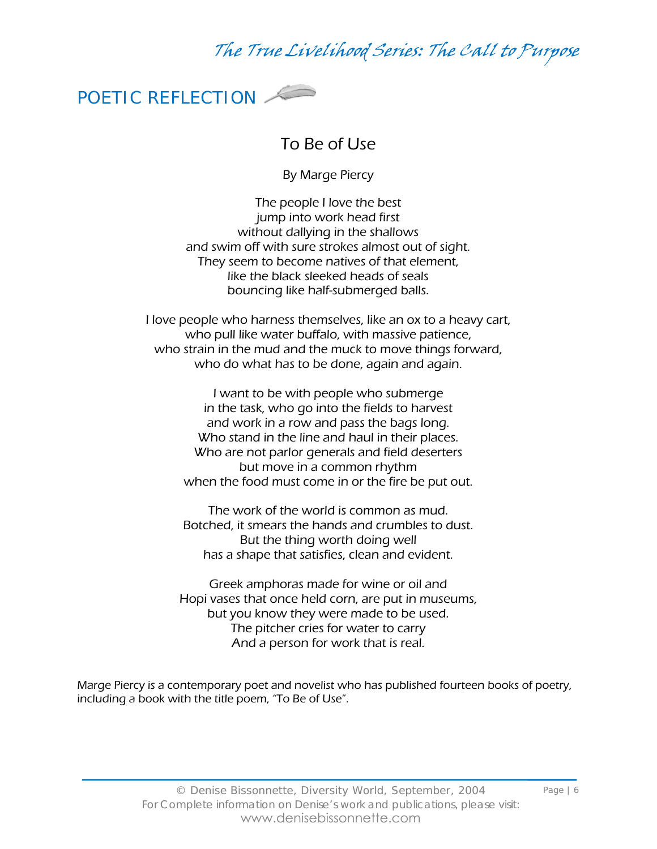

#### To Be of Use

By Marge Piercy

The people I love the best jump into work head first without dallying in the shallows and swim off with sure strokes almost out of sight. They seem to become natives of that element, like the black sleeked heads of seals bouncing like half-submerged balls.

I love people who harness themselves, like an ox to a heavy cart, who pull like water buffalo, with massive patience, who strain in the mud and the muck to move things forward, who do what has to be done, again and again.

> I want to be with people who submerge in the task, who go into the fields to harvest and work in a row and pass the bags long. Who stand in the line and haul in their places. Who are not parlor generals and field deserters but move in a common rhythm when the food must come in or the fire be put out.

> The work of the world is common as mud. Botched, it smears the hands and crumbles to dust. But the thing worth doing well has a shape that satisfies, clean and evident.

Greek amphoras made for wine or oil and Hopi vases that once held corn, are put in museums, but you know they were made to be used. The pitcher cries for water to carry And a person for work that is real.

Marge Piercy is a contemporary poet and novelist who has published fourteen books of poetry, including a book with the title poem, "To Be of Use".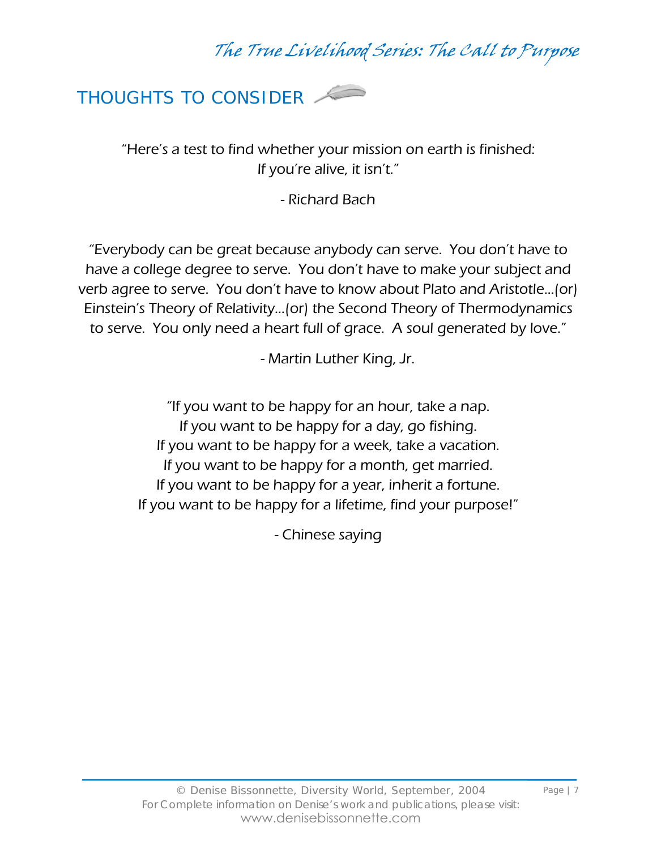

"Here's a test to find whether your mission on earth is finished: If you're alive, it isn't."

- Richard Bach

"Everybody can be great because anybody can serve. You don't have to have a college degree to serve. You don't have to make your subject and verb agree to serve. You don't have to know about Plato and Aristotle…(or) Einstein's Theory of Relativity…(or) the Second Theory of Thermodynamics to serve. You only need a heart full of grace. A soul generated by love."

- Martin Luther King, Jr.

"If you want to be happy for an hour, take a nap. If you want to be happy for a day, go fishing. If you want to be happy for a week, take a vacation. If you want to be happy for a month, get married. If you want to be happy for a year, inherit a fortune. If you want to be happy for a lifetime, find your purpose!"

- Chinese saying